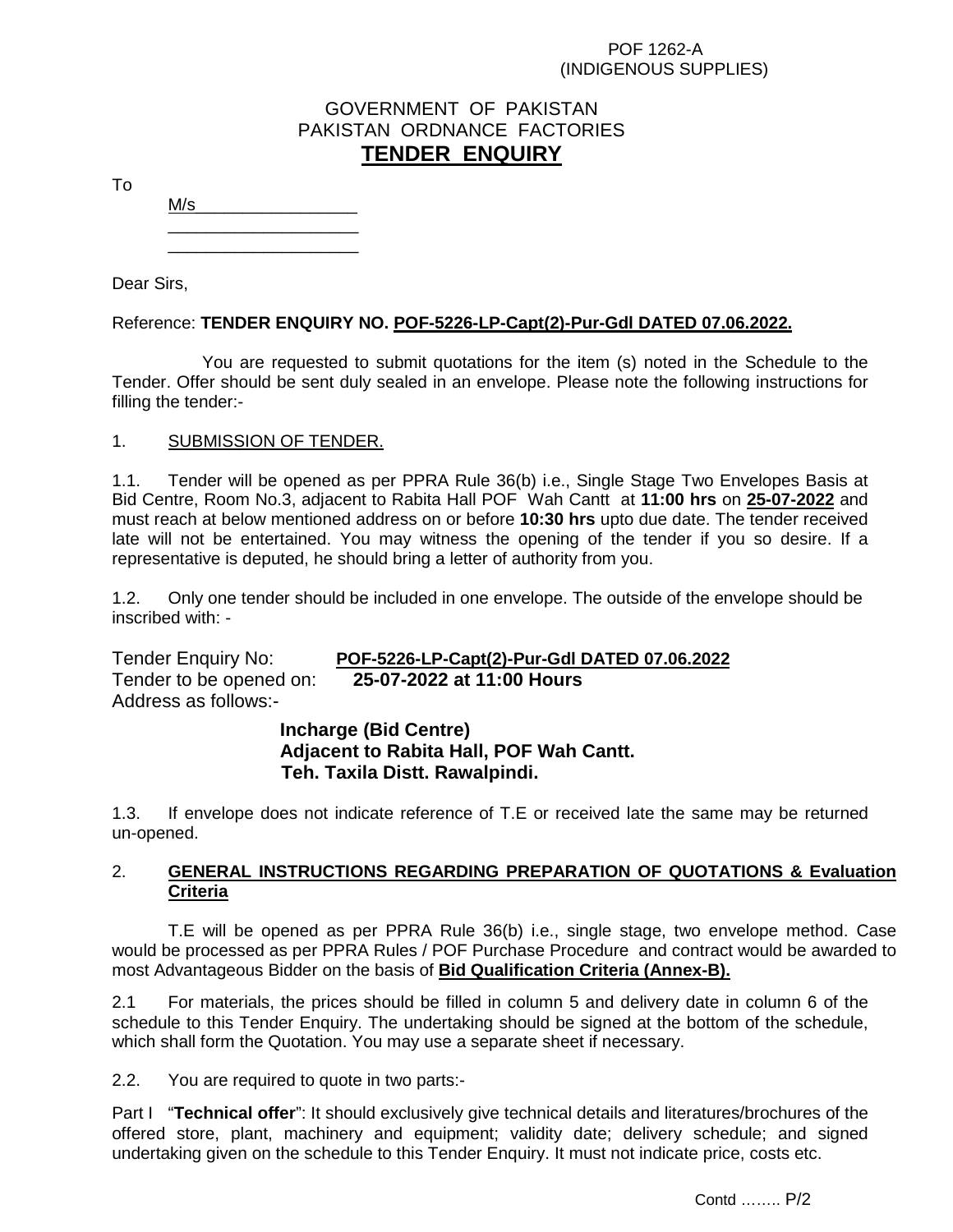## POF 1262-A (INDIGENOUS SUPPLIES)

# GOVERNMENT OF PAKISTAN PAKISTAN ORDNANCE FACTORIES **TENDER ENQUIRY**

To

 $\frac{1}{\sqrt{2}}$  ,  $\frac{1}{\sqrt{2}}$  ,  $\frac{1}{\sqrt{2}}$  ,  $\frac{1}{\sqrt{2}}$  ,  $\frac{1}{\sqrt{2}}$  ,  $\frac{1}{\sqrt{2}}$  ,  $\frac{1}{\sqrt{2}}$  ,  $\frac{1}{\sqrt{2}}$  ,  $\frac{1}{\sqrt{2}}$  ,  $\frac{1}{\sqrt{2}}$  ,  $\frac{1}{\sqrt{2}}$  ,  $\frac{1}{\sqrt{2}}$  ,  $\frac{1}{\sqrt{2}}$  ,  $\frac{1}{\sqrt{2}}$  ,  $\frac{1}{\sqrt{2}}$ 

Dear Sirs,

Reference: **TENDER ENQUIRY NO. POF-5226-LP-Capt(2)-Pur-Gdl DATED 07.06.2022.**

 You are requested to submit quotations for the item (s) noted in the Schedule to the Tender. Offer should be sent duly sealed in an envelope. Please note the following instructions for filling the tender:-

# 1. SUBMISSION OF TENDER.

1.1. Tender will be opened as per PPRA Rule 36(b) i.e., Single Stage Two Envelopes Basis at Bid Centre, Room No.3, adjacent to Rabita Hall POF Wah Cantt at **11:00 hrs** on **25-07-2022** and must reach at below mentioned address on or before **10:30 hrs** upto due date. The tender received late will not be entertained. You may witness the opening of the tender if you so desire. If a representative is deputed, he should bring a letter of authority from you.

1.2. Only one tender should be included in one envelope. The outside of the envelope should be inscribed with: -

Tender Enquiry No: **POF-5226-LP-Capt(2)-Pur-Gdl DATED 07.06.2022** Tender to be opened on: **25-07-2022 at 11:00 Hours** Address as follows:-

> **Incharge (Bid Centre) Adjacent to Rabita Hall, POF Wah Cantt. Teh. Taxila Distt. Rawalpindi.**

1.3. If envelope does not indicate reference of T.E or received late the same may be returned un-opened.

# 2. **GENERAL INSTRUCTIONS REGARDING PREPARATION OF QUOTATIONS & Evaluation Criteria**

T.E will be opened as per PPRA Rule 36(b) i.e., single stage, two envelope method. Case would be processed as per PPRA Rules / POF Purchase Procedure and contract would be awarded to most Advantageous Bidder on the basis of **Bid Qualification Criteria (Annex-B).**

2.1 For materials, the prices should be filled in column 5 and delivery date in column 6 of the schedule to this Tender Enquiry. The undertaking should be signed at the bottom of the schedule, which shall form the Quotation. You may use a separate sheet if necessary.

 $2.2.$ You are required to quote in two parts:-

Part I "**Technical offer**": It should exclusively give technical details and literatures/brochures of the offered store, plant, machinery and equipment; validity date; delivery schedule; and signed undertaking given on the schedule to this Tender Enquiry. It must not indicate price, costs etc.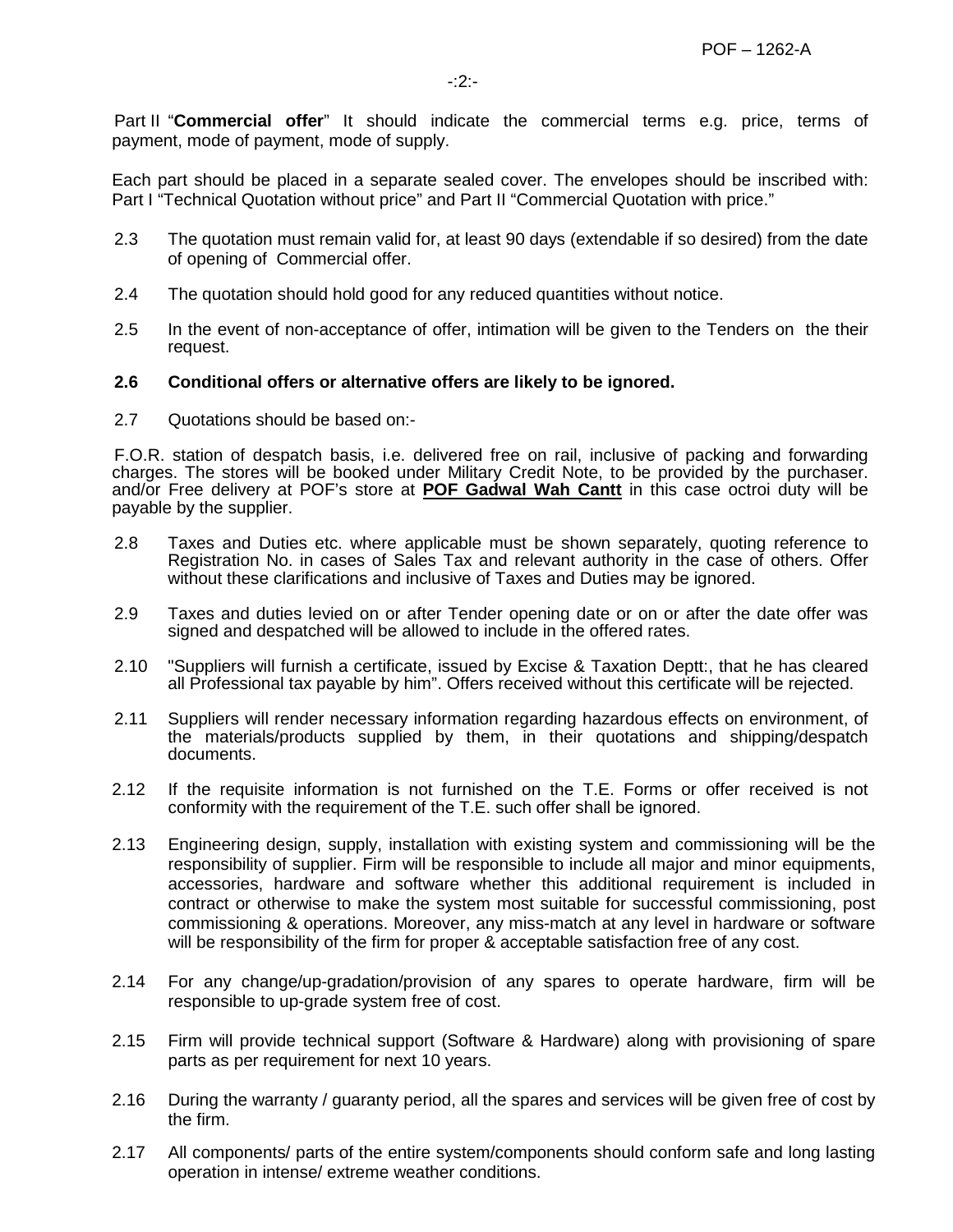Part II "**Commercial offer**" It should indicate the commercial terms e.g. price, terms of payment, mode of payment, mode of supply.

Each part should be placed in a separate sealed cover. The envelopes should be inscribed with: Part I "Technical Quotation without price" and Part II "Commercial Quotation with price."

- 2.3 The quotation must remain valid for, at least 90 days (extendable if so desired) from the date of opening of Commercial offer.
- 2.4 The quotation should hold good for any reduced quantities without notice.
- 2.5 In the event of non-acceptance of offer, intimation will be given to the Tenders on the their request.

### **2.6 Conditional offers or alternative offers are likely to be ignored.**

2.7 Quotations should be based on:-

F.O.R. station of despatch basis, i.e. delivered free on rail, inclusive of packing and forwarding charges. The stores will be booked under Military Credit Note, to be provided by the purchaser. and/or Free delivery at POF's store at **POF Gadwal Wah Cantt** in this case octroi duty will be payable by the supplier.

- 2.8 Taxes and Duties etc. where applicable must be shown separately, quoting reference to Registration No. in cases of Sales Tax and relevant authority in the case of others. Offer without these clarifications and inclusive of Taxes and Duties may be ignored.
- 2.9 Taxes and duties levied on or after Tender opening date or on or after the date offer was signed and despatched will be allowed to include in the offered rates.
- 2.10 "Suppliers will furnish a certificate, issued by Excise & Taxation Deptt:, that he has cleared all Professional tax payable by him". Offers received without this certificate will be rejected.
- 2.11 Suppliers will render necessary information regarding hazardous effects on environment, of the materials/products supplied by them, in their quotations and shipping/despatch documents.
- 2.12 If the requisite information is not furnished on the T.E. Forms or offer received is not conformity with the requirement of the T.E. such offer shall be ignored.
- 2.13 Engineering design, supply, installation with existing system and commissioning will be the responsibility of supplier. Firm will be responsible to include all major and minor equipments, accessories, hardware and software whether this additional requirement is included in contract or otherwise to make the system most suitable for successful commissioning, post commissioning & operations. Moreover, any miss-match at any level in hardware or software will be responsibility of the firm for proper & acceptable satisfaction free of any cost.
- 2.14 For any change/up-gradation/provision of any spares to operate hardware, firm will be responsible to up-grade system free of cost.
- 2.15 Firm will provide technical support (Software & Hardware) along with provisioning of spare parts as per requirement for next 10 years.
- 2.16 During the warranty / guaranty period, all the spares and services will be given free of cost by the firm.
- 2.17 All components/ parts of the entire system/components should conform safe and long lasting operation in intense/ extreme weather conditions.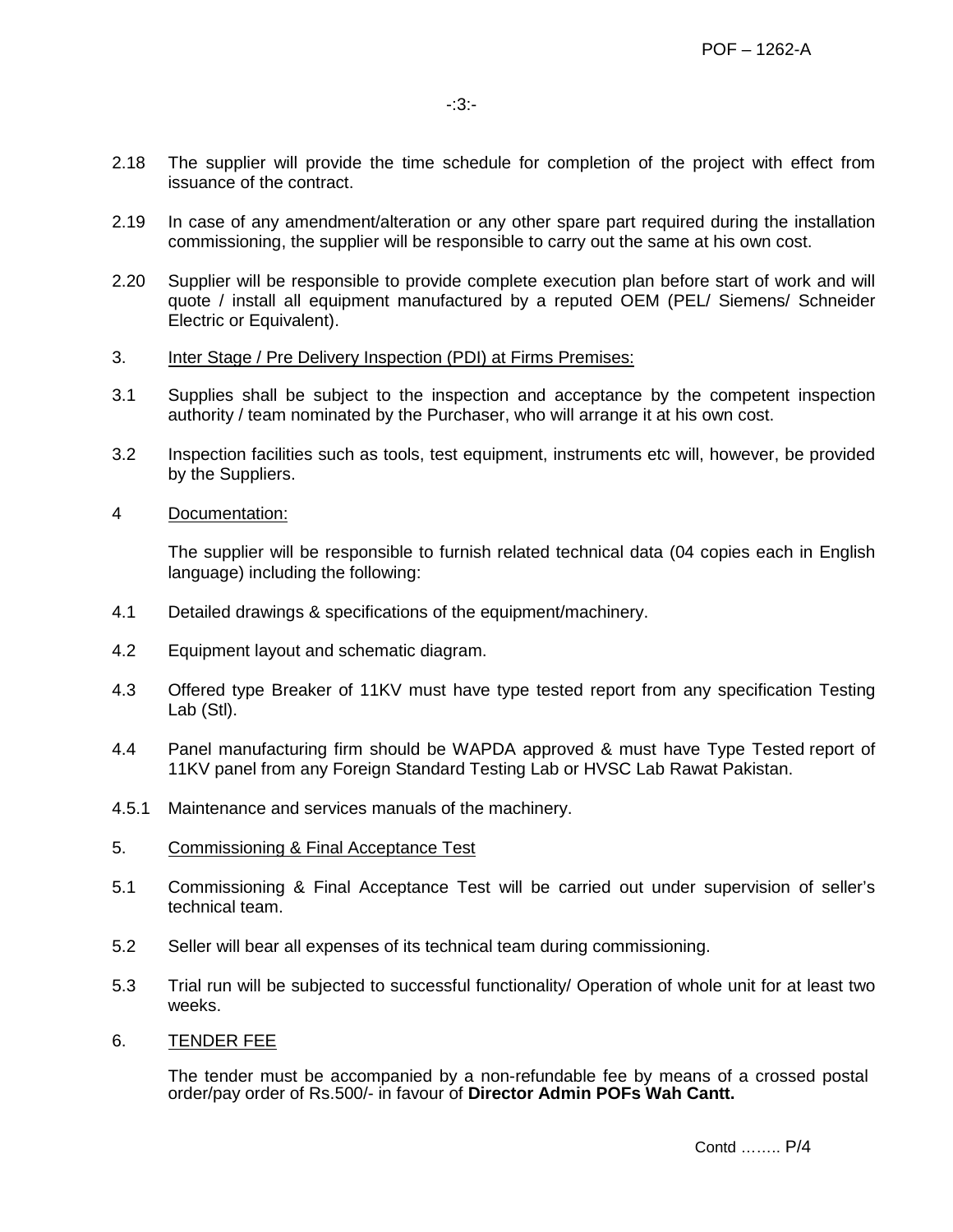- 2.18 The supplier will provide the time schedule for completion of the project with effect from issuance of the contract.
- 2.19 In case of any amendment/alteration or any other spare part required during the installation commissioning, the supplier will be responsible to carry out the same at his own cost.
- 2.20 Supplier will be responsible to provide complete execution plan before start of work and will quote / install all equipment manufactured by a reputed OEM (PEL/ Siemens/ Schneider Electric or Equivalent).
- 3. Inter Stage / Pre Delivery Inspection (PDI) at Firms Premises:
- 3.1 Supplies shall be subject to the inspection and acceptance by the competent inspection authority / team nominated by the Purchaser, who will arrange it at his own cost.
- 3.2 Inspection facilities such as tools, test equipment, instruments etc will, however, be provided by the Suppliers.
- 4 Documentation:

The supplier will be responsible to furnish related technical data (04 copies each in English language) including the following:

- 4.1 Detailed drawings & specifications of the equipment/machinery.
- 4.2 Equipment layout and schematic diagram.
- 4.3 Offered type Breaker of 11KV must have type tested report from any specification Testing Lab (Stl).
- 4.4 Panel manufacturing firm should be WAPDA approved & must have Type Tested report of 11KV panel from any Foreign Standard Testing Lab or HVSC Lab Rawat Pakistan.
- 4.5.1 Maintenance and services manuals of the machinery.
- 5. Commissioning & Final Acceptance Test
- 5.1 Commissioning & Final Acceptance Test will be carried out under supervision of seller's technical team.
- 5.2 Seller will bear all expenses of its technical team during commissioning.
- 5.3 Trial run will be subjected to successful functionality/ Operation of whole unit for at least two weeks.
- 6. TENDER FEE

The tender must be accompanied by a non-refundable fee by means of a crossed postal order/pay order of Rs.500/- in favour of **Director Admin POFs Wah Cantt.**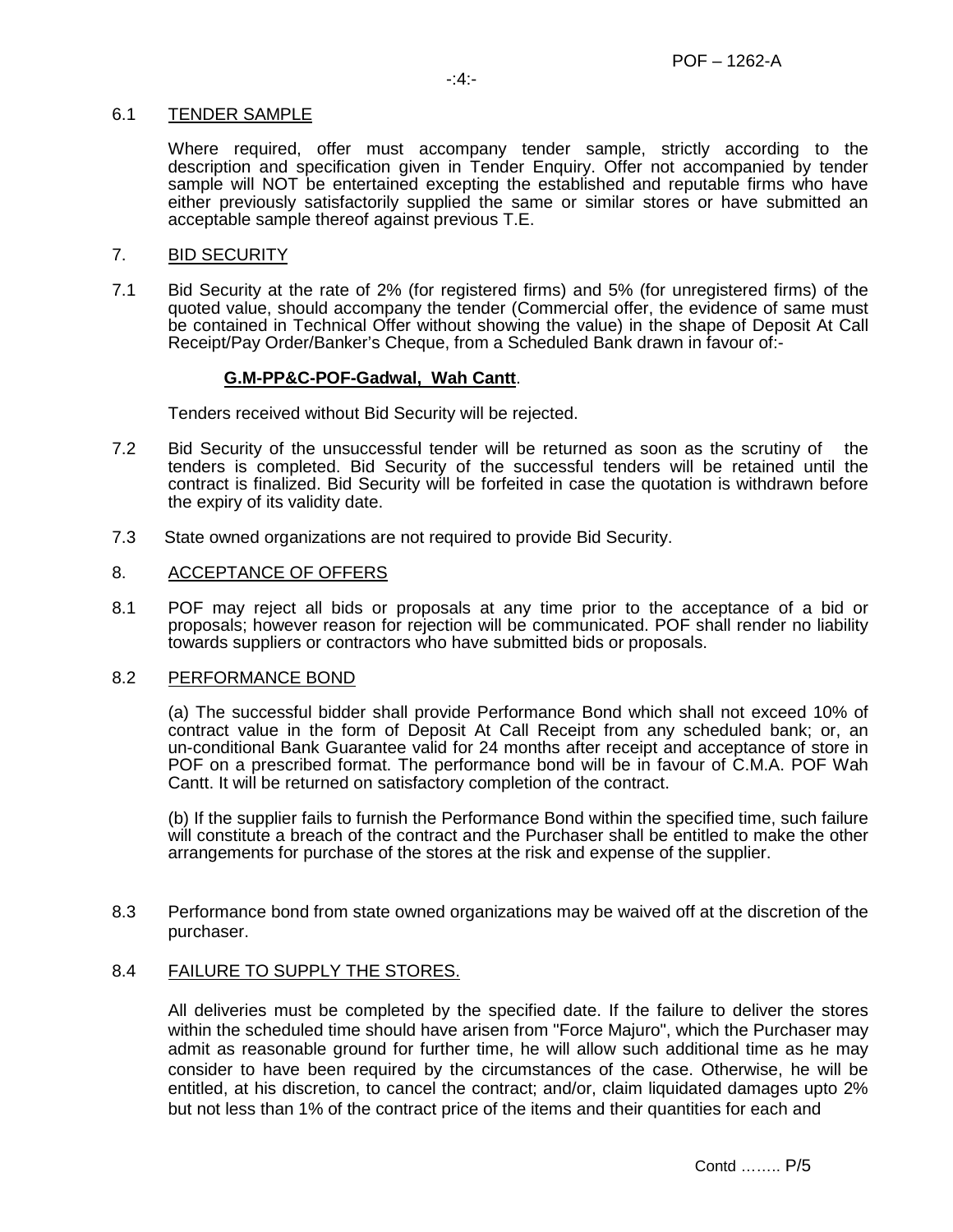### 6.1 TENDER SAMPLE

Where required, offer must accompany tender sample, strictly according to the description and specification given in Tender Enquiry. Offer not accompanied by tender sample will NOT be entertained excepting the established and reputable firms who have either previously satisfactorily supplied the same or similar stores or have submitted an acceptable sample thereof against previous T.E.

### 7. BID SECURITY

7.1 Bid Security at the rate of 2% (for registered firms) and 5% (for unregistered firms) of the quoted value, should accompany the tender (Commercial offer, the evidence of same must be contained in Technical Offer without showing the value) in the shape of Deposit At Call Receipt/Pay Order/Banker's Cheque, from a Scheduled Bank drawn in favour of:-

# **G.M-PP&C-POF-Gadwal, Wah Cantt**.

Tenders received without Bid Security will be rejected.

- 7.2 Bid Security of the unsuccessful tender will be returned as soon as the scrutiny of the tenders is completed. Bid Security of the successful tenders will be retained until the contract is finalized. Bid Security will be forfeited in case the quotation is withdrawn before the expiry of its validity date.
- 7.3 State owned organizations are not required to provide Bid Security.

### 8. ACCEPTANCE OF OFFERS

8.1 POF may reject all bids or proposals at any time prior to the acceptance of a bid or proposals; however reason for rejection will be communicated. POF shall render no liability towards suppliers or contractors who have submitted bids or proposals.

### 8.2 PERFORMANCE BOND

(a) The successful bidder shall provide Performance Bond which shall not exceed 10% of contract value in the form of Deposit At Call Receipt from any scheduled bank; or, an un-conditional Bank Guarantee valid for 24 months after receipt and acceptance of store in POF on a prescribed format. The performance bond will be in favour of C.M.A. POF Wah Cantt. It will be returned on satisfactory completion of the contract.

(b) If the supplier fails to furnish the Performance Bond within the specified time, such failure will constitute a breach of the contract and the Purchaser shall be entitled to make the other arrangements for purchase of the stores at the risk and expense of the supplier.

8.3 Performance bond from state owned organizations may be waived off at the discretion of the purchaser.

### 8.4 FAILURE TO SUPPLY THE STORES.

All deliveries must be completed by the specified date. If the failure to deliver the stores within the scheduled time should have arisen from "Force Majuro", which the Purchaser may admit as reasonable ground for further time, he will allow such additional time as he may consider to have been required by the circumstances of the case. Otherwise, he will be entitled, at his discretion, to cancel the contract; and/or, claim liquidated damages upto 2% but not less than 1% of the contract price of the items and their quantities for each and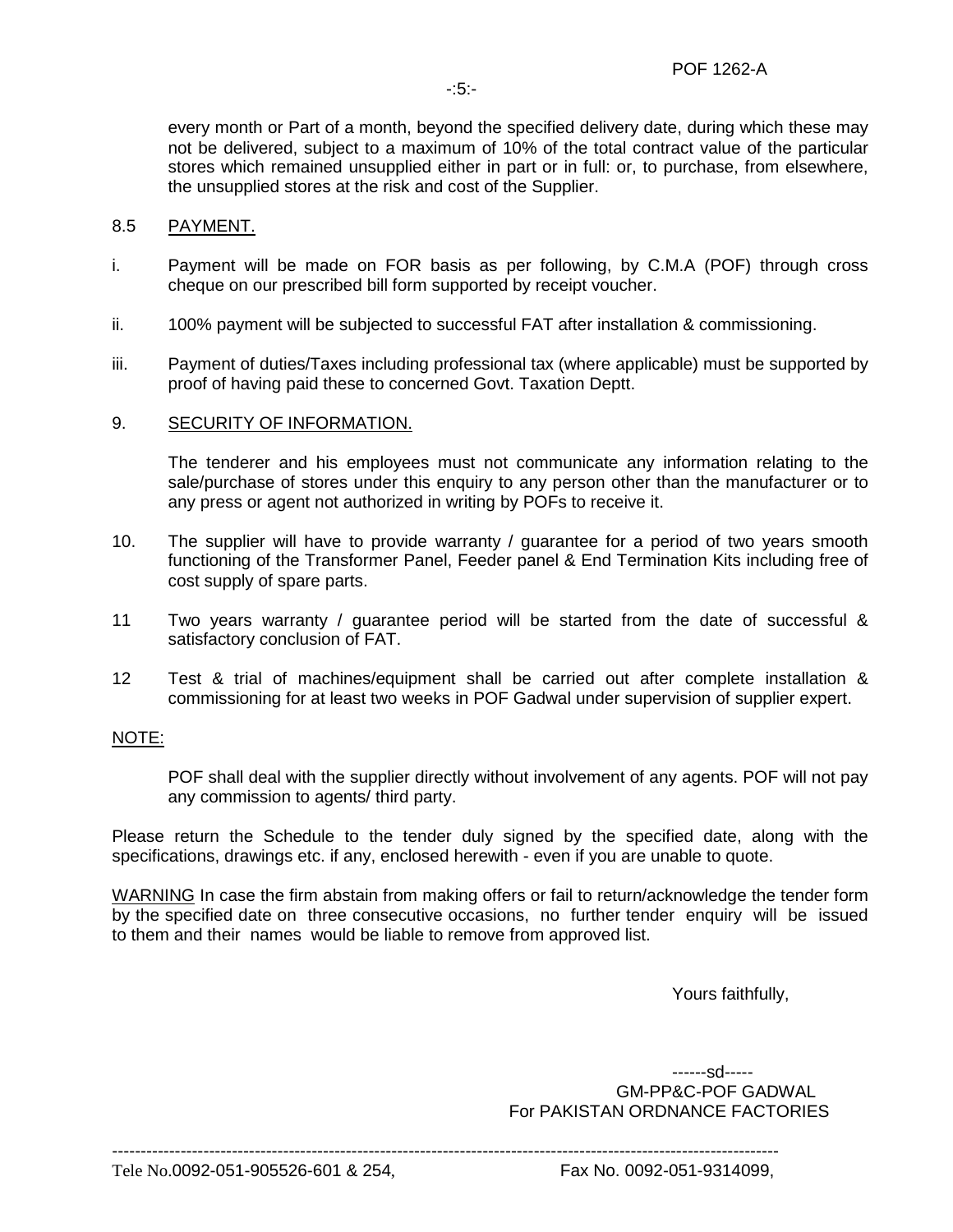every month or Part of a month, beyond the specified delivery date, during which these may not be delivered, subject to a maximum of 10% of the total contract value of the particular stores which remained unsupplied either in part or in full: or, to purchase, from elsewhere, the unsupplied stores at the risk and cost of the Supplier.

# 8.5 PAYMENT.

- i. Payment will be made on FOR basis as per following, by C.M.A (POF) through cross cheque on our prescribed bill form supported by receipt voucher.
- ii. 100% payment will be subjected to successful FAT after installation & commissioning.
- iii. Payment of duties/Taxes including professional tax (where applicable) must be supported by proof of having paid these to concerned Govt. Taxation Deptt.

### 9. SECURITY OF INFORMATION.

The tenderer and his employees must not communicate any information relating to the sale/purchase of stores under this enquiry to any person other than the manufacturer or to any press or agent not authorized in writing by POFs to receive it.

- 10. The supplier will have to provide warranty / guarantee for a period of two years smooth functioning of the Transformer Panel, Feeder panel & End Termination Kits including free of cost supply of spare parts.
- 11 Two years warranty / guarantee period will be started from the date of successful & satisfactory conclusion of FAT.
- 12 Test & trial of machines/equipment shall be carried out after complete installation & commissioning for at least two weeks in POF Gadwal under supervision of supplier expert.

### NOTE:

POF shall deal with the supplier directly without involvement of any agents. POF will not pay any commission to agents/ third party.

Please return the Schedule to the tender duly signed by the specified date, along with the specifications, drawings etc. if any, enclosed herewith - even if you are unable to quote.

WARNING In case the firm abstain from making offers or fail to return/acknowledge the tender form by the specified date on three consecutive occasions, no further tender enquiry will be issued to them and their names would be liable to remove from approved list.

Yours faithfully,

 ------sd----- GM-PP&C-POF GADWAL For PAKISTAN ORDNANCE FACTORIES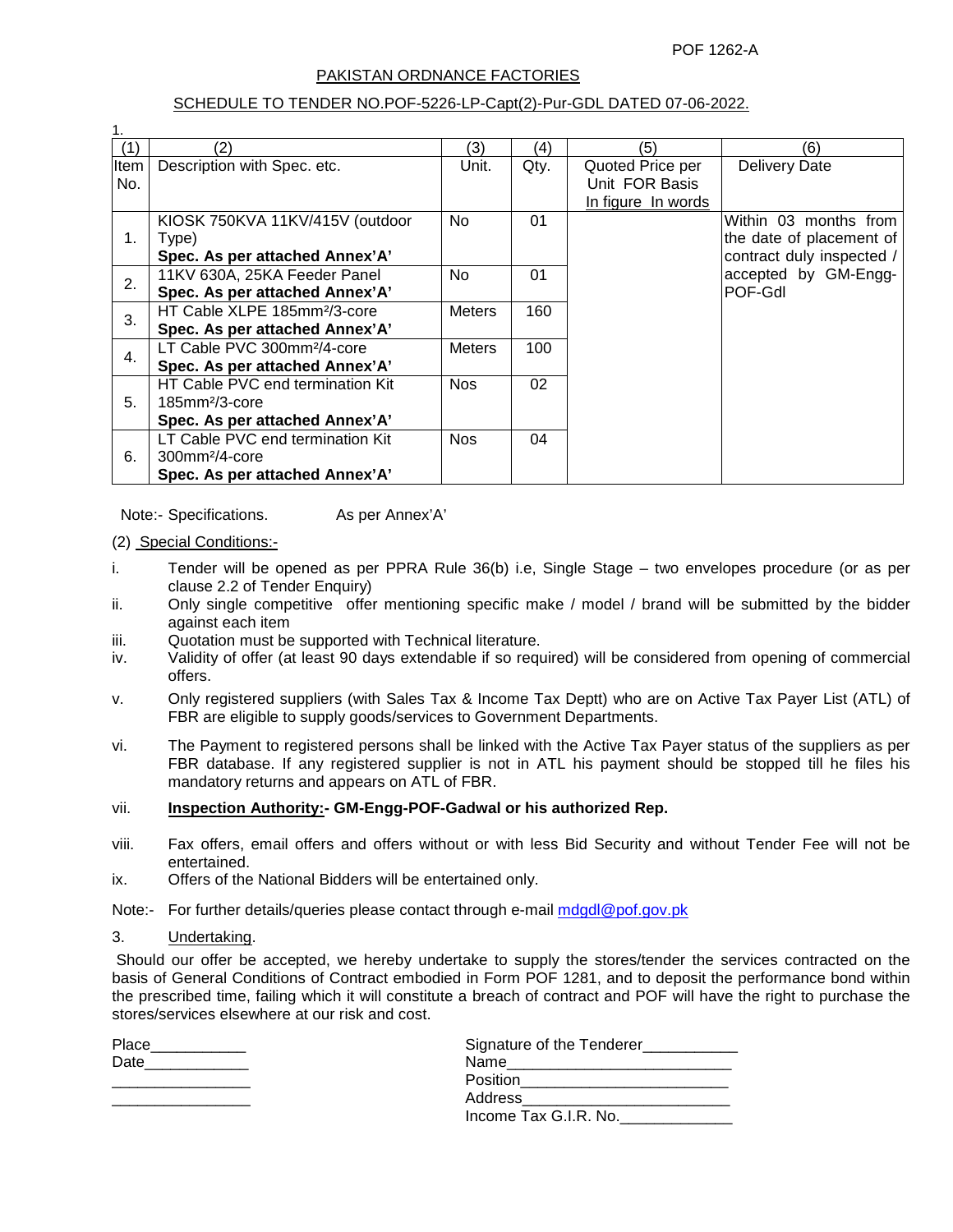POF 1262-A

#### PAKISTAN ORDNANCE FACTORIES

#### SCHEDULE TO TENDER NO.POF-5226-LP-Capt(2)-Pur-GDL DATED 07-06-2022.

| 1.               |                                          |               |      |                    |                           |
|------------------|------------------------------------------|---------------|------|--------------------|---------------------------|
| (1)              | (2)                                      | (3)           | (4)  | (5)                | (6)                       |
| Item             | Description with Spec. etc.              | Unit.         | Qty. | Quoted Price per   | <b>Delivery Date</b>      |
| No.              |                                          |               |      | Unit FOR Basis     |                           |
|                  |                                          |               |      | In figure In words |                           |
|                  | KIOSK 750KVA 11KV/415V (outdoor          | No.           | 01   |                    | Within 03 months from     |
| 1.               | Type)                                    |               |      |                    | the date of placement of  |
|                  | Spec. As per attached Annex'A'           |               |      |                    | contract duly inspected / |
| 2.               | 11KV 630A, 25KA Feeder Panel             | No.           | 01   |                    | accepted by GM-Engg-      |
|                  | Spec. As per attached Annex'A'           |               |      |                    | POF-Gdl                   |
|                  | HT Cable XLPE 185mm <sup>2</sup> /3-core | <b>Meters</b> | 160  |                    |                           |
| 3.               | Spec. As per attached Annex'A'           |               |      |                    |                           |
| $\overline{4}$ . | LT Cable PVC 300mm <sup>2</sup> /4-core  | <b>Meters</b> | 100  |                    |                           |
|                  | Spec. As per attached Annex'A'           |               |      |                    |                           |
|                  | HT Cable PVC end termination Kit         | <b>Nos</b>    | 02   |                    |                           |
| 5.               | $185$ mm $2/3$ -core                     |               |      |                    |                           |
|                  | Spec. As per attached Annex'A'           |               |      |                    |                           |
|                  | LT Cable PVC end termination Kit         | <b>Nos</b>    | 04   |                    |                           |
| 6.               | $300$ mm $2/4$ -core                     |               |      |                    |                           |
|                  | Spec. As per attached Annex'A'           |               |      |                    |                           |

Note:- Specifications. As per Annex'A'

(2) Special Conditions:-

- i. Tender will be opened as per PPRA Rule 36(b) i.e, Single Stage two envelopes procedure (or as per clause 2.2 of Tender Enquiry)
- ii. Only single competitive offer mentioning specific make / model / brand will be submitted by the bidder against each item
- iii. Quotation must be supported with Technical literature.
- iv. Validity of offer (at least 90 days extendable if so required) will be considered from opening of commercial offers.
- v. Only registered suppliers (with Sales Tax & Income Tax Deptt) who are on Active Tax Payer List (ATL) of FBR are eligible to supply goods/services to Government Departments.
- vi. The Payment to registered persons shall be linked with the Active Tax Payer status of the suppliers as per FBR database. If any registered supplier is not in ATL his payment should be stopped till he files his mandatory returns and appears on ATL of FBR.

#### vii. **Inspection Authority:- GM-Engg-POF-Gadwal or his authorized Rep.**

- viii. Fax offers, email offers and offers without or with less Bid Security and without Tender Fee will not be entertained.
- ix. Offers of the National Bidders will be entertained only.

Note:- For further details/queries please contact through e-mail mdgdl@pof.gov.pk

#### 3. Undertaking.

 Should our offer be accepted, we hereby undertake to supply the stores/tender the services contracted on the basis of General Conditions of Contract embodied in Form POF 1281, and to deposit the performance bond within the prescribed time, failing which it will constitute a breach of contract and POF will have the right to purchase the stores/services elsewhere at our risk and cost.

| Place | Signature of the Tenderer |
|-------|---------------------------|
| Date  | Name <b>Manager</b>       |
|       | Position                  |
|       | Address                   |
|       | Income Tax G.I.R. No.     |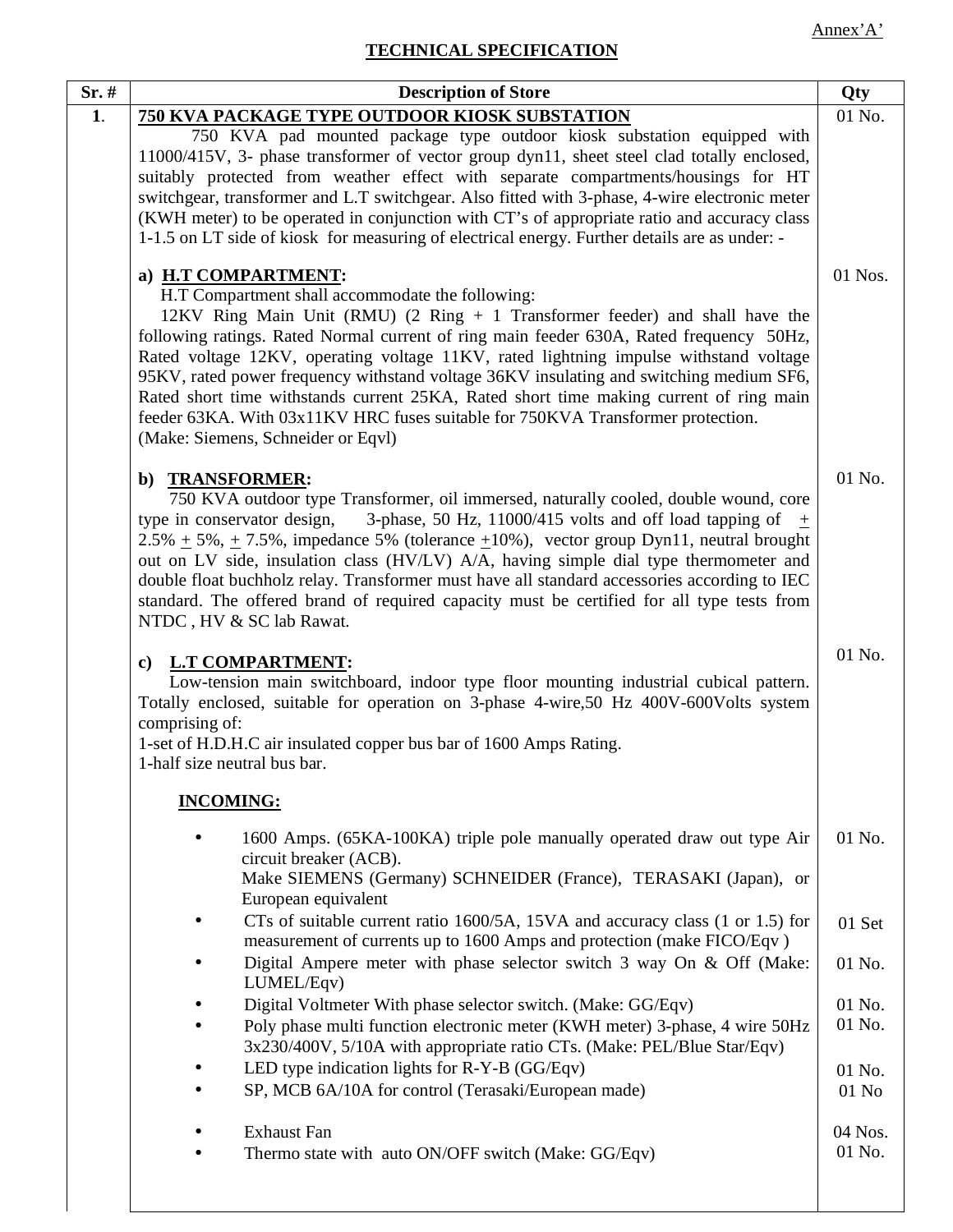# **TECHNICAL SPECIFICATION**

| $Sr.$ # | <b>Description of Store</b>                                                                                                                                                                                                                                                                                                                                                                                                                                                                                                                                                                                                                                                  | Qty               |  |
|---------|------------------------------------------------------------------------------------------------------------------------------------------------------------------------------------------------------------------------------------------------------------------------------------------------------------------------------------------------------------------------------------------------------------------------------------------------------------------------------------------------------------------------------------------------------------------------------------------------------------------------------------------------------------------------------|-------------------|--|
| 1.      | <b>750 KVA PACKAGE TYPE OUTDOOR KIOSK SUBSTATION</b>                                                                                                                                                                                                                                                                                                                                                                                                                                                                                                                                                                                                                         | 01 No.            |  |
|         | 750 KVA pad mounted package type outdoor kiosk substation equipped with<br>11000/415V, 3- phase transformer of vector group dyn11, sheet steel clad totally enclosed,<br>suitably protected from weather effect with separate compartments/housings for HT<br>switchgear, transformer and L.T switchgear. Also fitted with 3-phase, 4-wire electronic meter<br>(KWH meter) to be operated in conjunction with CT's of appropriate ratio and accuracy class<br>1-1.5 on LT side of kiosk for measuring of electrical energy. Further details are as under: -                                                                                                                  |                   |  |
|         | a) H.T COMPARTMENT:<br>H.T Compartment shall accommodate the following:<br>12KV Ring Main Unit (RMU) $(2 \text{ Ring } + 1 \text{ Transformer feeder})$ and shall have the<br>following ratings. Rated Normal current of ring main feeder 630A, Rated frequency 50Hz,<br>Rated voltage 12KV, operating voltage 11KV, rated lightning impulse withstand voltage<br>95KV, rated power frequency withstand voltage 36KV insulating and switching medium SF6,<br>Rated short time withstands current 25KA, Rated short time making current of ring main<br>feeder 63KA. With 03x11KV HRC fuses suitable for 750KVA Transformer protection.<br>(Make: Siemens, Schneider or Eqvl) | 01 Nos.           |  |
|         | b) TRANSFORMER:<br>750 KVA outdoor type Transformer, oil immersed, naturally cooled, double wound, core<br>type in conservator design,<br>3-phase, 50 Hz, 11000/415 volts and off load tapping of $\pm$<br>$2.5\% + 5\%, +7.5\%$ , impedance 5% (tolerance $\pm 10\%$ ), vector group Dyn11, neutral brought<br>out on LV side, insulation class (HV/LV) A/A, having simple dial type thermometer and<br>double float buchholz relay. Transformer must have all standard accessories according to IEC<br>standard. The offered brand of required capacity must be certified for all type tests from<br>NTDC, HV & SC lab Rawat.                                              | 01 No.            |  |
|         | <b>L.T COMPARTMENT:</b><br>$\mathbf{c})$<br>Low-tension main switchboard, indoor type floor mounting industrial cubical pattern.<br>Totally enclosed, suitable for operation on 3-phase 4-wire,50 Hz 400V-600Volts system<br>comprising of:<br>1-set of H.D.H.C air insulated copper bus bar of 1600 Amps Rating.<br>1-half size neutral bus bar.                                                                                                                                                                                                                                                                                                                            |                   |  |
|         | <b>INCOMING:</b>                                                                                                                                                                                                                                                                                                                                                                                                                                                                                                                                                                                                                                                             |                   |  |
|         | 1600 Amps. (65KA-100KA) triple pole manually operated draw out type Air<br>circuit breaker (ACB).<br>Make SIEMENS (Germany) SCHNEIDER (France), TERASAKI (Japan), or<br>European equivalent                                                                                                                                                                                                                                                                                                                                                                                                                                                                                  | 01 No.            |  |
|         | CTs of suitable current ratio 1600/5A, 15VA and accuracy class (1 or 1.5) for<br>measurement of currents up to 1600 Amps and protection (make FICO/Eqv)                                                                                                                                                                                                                                                                                                                                                                                                                                                                                                                      | 01 Set            |  |
|         | Digital Ampere meter with phase selector switch 3 way On & Off (Make:<br>LUMEL/Eqv)                                                                                                                                                                                                                                                                                                                                                                                                                                                                                                                                                                                          | 01 No.            |  |
|         | Digital Voltmeter With phase selector switch. (Make: GG/Eqv)<br>Poly phase multi function electronic meter (KWH meter) 3-phase, 4 wire 50Hz<br>3x230/400V, 5/10A with appropriate ratio CTs. (Make: PEL/Blue Star/Eqv)                                                                                                                                                                                                                                                                                                                                                                                                                                                       | 01 No.<br>01 No.  |  |
|         | LED type indication lights for R-Y-B (GG/Eqv)<br>SP, MCB 6A/10A for control (Terasaki/European made)                                                                                                                                                                                                                                                                                                                                                                                                                                                                                                                                                                         | 01 No.<br>$01$ No |  |
|         | <b>Exhaust Fan</b><br>Thermo state with auto ON/OFF switch (Make: GG/Eqv)                                                                                                                                                                                                                                                                                                                                                                                                                                                                                                                                                                                                    | 04 Nos.<br>01 No. |  |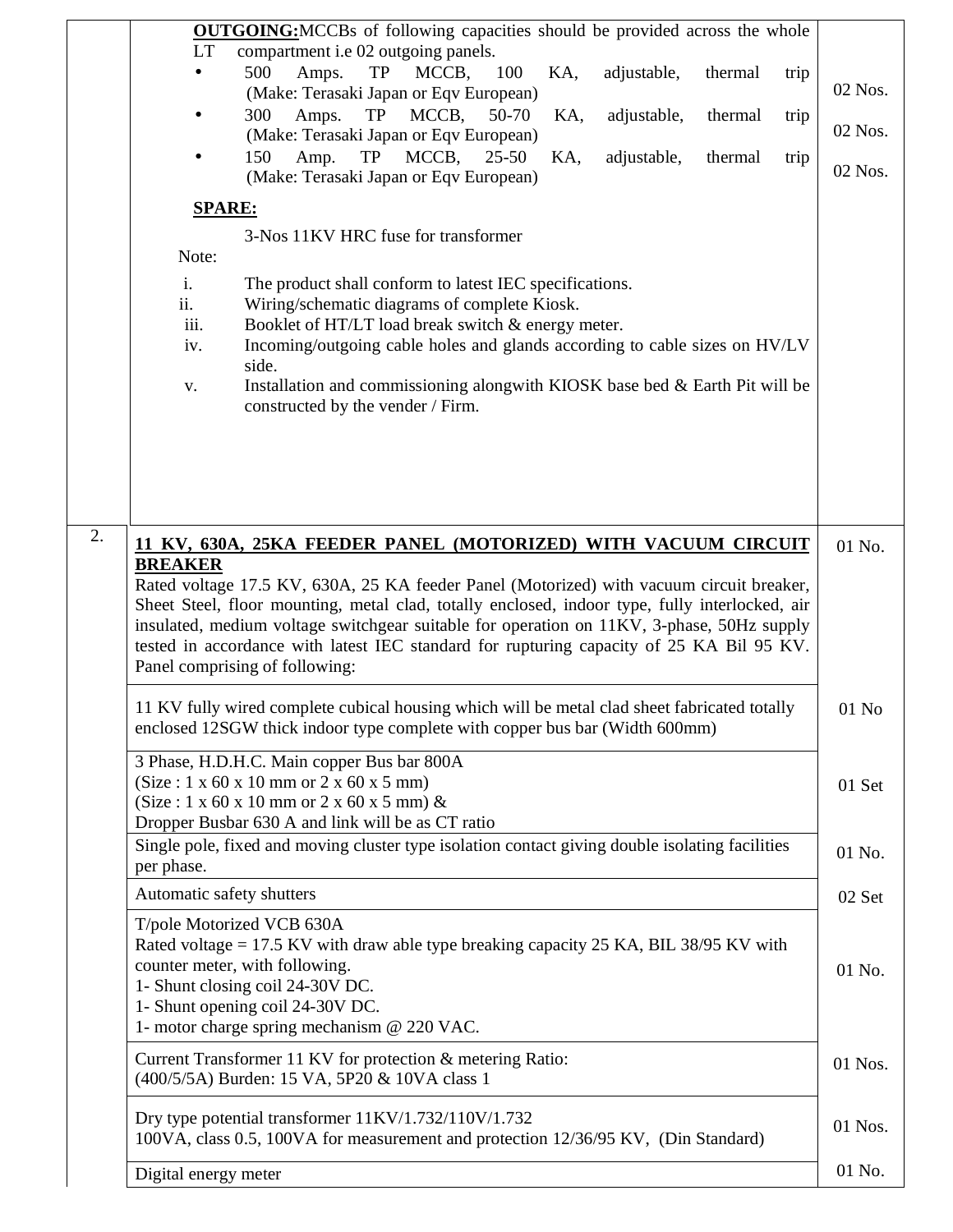|    | <b>OUTGOING:</b> MCCBs of following capacities should be provided across the whole                                                         |         |  |  |  |  |  |
|----|--------------------------------------------------------------------------------------------------------------------------------------------|---------|--|--|--|--|--|
|    | compartment i.e 02 outgoing panels.<br><b>LT</b>                                                                                           |         |  |  |  |  |  |
|    | 500<br>Amps.<br>TP<br>MCCB,<br>100<br>KA,<br>adjustable,<br>thermal<br>trip                                                                |         |  |  |  |  |  |
|    | (Make: Terasaki Japan or Eqv European)                                                                                                     | 02 Nos. |  |  |  |  |  |
|    | 300<br>Amps.<br>TP<br>MCCB,<br>50-70<br>KA,<br>adjustable,<br>thermal<br>trip                                                              |         |  |  |  |  |  |
|    | (Make: Terasaki Japan or Eqv European)                                                                                                     | 02 Nos. |  |  |  |  |  |
|    | Amp.<br>TP<br>MCCB,<br>$25 - 50$<br>150<br>KA,<br>adjustable,<br>thermal<br>trip                                                           |         |  |  |  |  |  |
|    | (Make: Terasaki Japan or Eqv European)                                                                                                     | 02 Nos. |  |  |  |  |  |
|    |                                                                                                                                            |         |  |  |  |  |  |
|    | <b>SPARE:</b>                                                                                                                              |         |  |  |  |  |  |
|    | 3-Nos 11KV HRC fuse for transformer                                                                                                        |         |  |  |  |  |  |
|    | Note:                                                                                                                                      |         |  |  |  |  |  |
|    | i.<br>The product shall conform to latest IEC specifications.                                                                              |         |  |  |  |  |  |
|    | ii.<br>Wiring/schematic diagrams of complete Kiosk.                                                                                        |         |  |  |  |  |  |
|    | iii.<br>Booklet of HT/LT load break switch & energy meter.                                                                                 |         |  |  |  |  |  |
|    | Incoming/outgoing cable holes and glands according to cable sizes on HV/LV<br>iv.                                                          |         |  |  |  |  |  |
|    | side.<br>Installation and commissioning alongwith KIOSK base bed & Earth Pit will be                                                       |         |  |  |  |  |  |
|    | ${\bf V}$ .<br>constructed by the vender / Firm.                                                                                           |         |  |  |  |  |  |
|    |                                                                                                                                            |         |  |  |  |  |  |
|    |                                                                                                                                            |         |  |  |  |  |  |
|    |                                                                                                                                            |         |  |  |  |  |  |
|    |                                                                                                                                            |         |  |  |  |  |  |
|    |                                                                                                                                            |         |  |  |  |  |  |
| 2. |                                                                                                                                            |         |  |  |  |  |  |
|    | 11 KV, 630A, 25KA FEEDER PANEL (MOTORIZED) WITH VACUUM CIRCUIT                                                                             | 01 No.  |  |  |  |  |  |
|    | <b>BREAKER</b><br>Rated voltage 17.5 KV, 630A, 25 KA feeder Panel (Motorized) with vacuum circuit breaker,                                 |         |  |  |  |  |  |
|    | Sheet Steel, floor mounting, metal clad, totally enclosed, indoor type, fully interlocked, air                                             |         |  |  |  |  |  |
|    | insulated, medium voltage switchgear suitable for operation on 11KV, 3-phase, 50Hz supply                                                  |         |  |  |  |  |  |
|    | tested in accordance with latest IEC standard for rupturing capacity of 25 KA Bil 95 KV.                                                   |         |  |  |  |  |  |
|    | Panel comprising of following:                                                                                                             |         |  |  |  |  |  |
|    |                                                                                                                                            |         |  |  |  |  |  |
|    | 11 KV fully wired complete cubical housing which will be metal clad sheet fabricated totally                                               | $01$ No |  |  |  |  |  |
|    | enclosed 12SGW thick indoor type complete with copper bus bar (Width 600mm)                                                                |         |  |  |  |  |  |
|    | 3 Phase, H.D.H.C. Main copper Bus bar 800A                                                                                                 |         |  |  |  |  |  |
|    | $(Size: 1 x 60 x 10 mm or 2 x 60 x 5 mm)$                                                                                                  | 01 Set  |  |  |  |  |  |
|    | $(Size: 1 x 60 x 10 mm or 2 x 60 x 5 mm)$ &                                                                                                |         |  |  |  |  |  |
|    | Dropper Busbar 630 A and link will be as CT ratio                                                                                          |         |  |  |  |  |  |
|    | Single pole, fixed and moving cluster type isolation contact giving double isolating facilities                                            | 01 No.  |  |  |  |  |  |
|    | per phase.                                                                                                                                 |         |  |  |  |  |  |
|    | Automatic safety shutters                                                                                                                  | 02 Set  |  |  |  |  |  |
|    |                                                                                                                                            |         |  |  |  |  |  |
|    | T/pole Motorized VCB 630A                                                                                                                  |         |  |  |  |  |  |
|    | Rated voltage = 17.5 KV with draw able type breaking capacity 25 KA, BIL 38/95 KV with                                                     |         |  |  |  |  |  |
|    | counter meter, with following.<br>1- Shunt closing coil 24-30V DC.                                                                         | 01 No.  |  |  |  |  |  |
|    | 1- Shunt opening coil 24-30V DC.                                                                                                           |         |  |  |  |  |  |
|    | 1- motor charge spring mechanism @ 220 VAC.                                                                                                |         |  |  |  |  |  |
|    |                                                                                                                                            |         |  |  |  |  |  |
|    | Current Transformer 11 KV for protection & metering Ratio:                                                                                 |         |  |  |  |  |  |
|    | (400/5/5A) Burden: 15 VA, 5P20 & 10VA class 1                                                                                              |         |  |  |  |  |  |
|    |                                                                                                                                            |         |  |  |  |  |  |
|    | Dry type potential transformer 11KV/1.732/110V/1.732<br>100VA, class 0.5, 100VA for measurement and protection 12/36/95 KV, (Din Standard) | 01 Nos. |  |  |  |  |  |
|    |                                                                                                                                            |         |  |  |  |  |  |
|    | Digital energy meter                                                                                                                       | 01 No.  |  |  |  |  |  |
|    |                                                                                                                                            |         |  |  |  |  |  |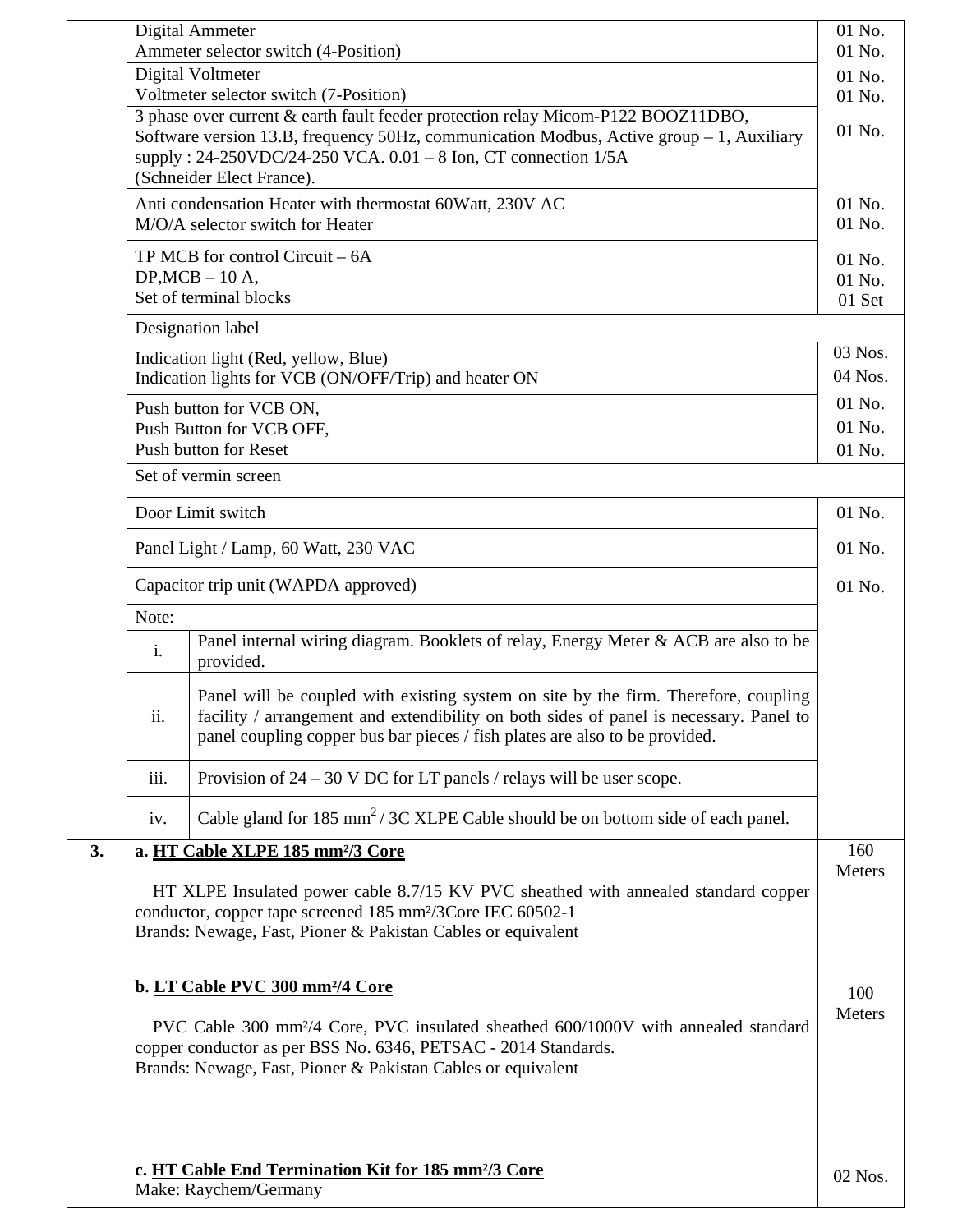|    |                                                                                                                                                                                                                                  | Digital Ammeter<br>Ammeter selector switch (4-Position)                                                                                                                                                                                                                     | 01 No.<br>01 No.           |  |  |
|----|----------------------------------------------------------------------------------------------------------------------------------------------------------------------------------------------------------------------------------|-----------------------------------------------------------------------------------------------------------------------------------------------------------------------------------------------------------------------------------------------------------------------------|----------------------------|--|--|
|    |                                                                                                                                                                                                                                  | Digital Voltmeter                                                                                                                                                                                                                                                           | 01 No.                     |  |  |
|    |                                                                                                                                                                                                                                  | Voltmeter selector switch (7-Position)                                                                                                                                                                                                                                      | 01 No.                     |  |  |
|    |                                                                                                                                                                                                                                  | 3 phase over current & earth fault feeder protection relay Micom-P122 BOOZ11DBO,<br>Software version 13.B, frequency 50Hz, communication Modbus, Active group - 1, Auxiliary<br>supply: 24-250VDC/24-250 VCA. 0.01 - 8 Ion, CT connection 1/5A<br>(Schneider Elect France). | 01 No.                     |  |  |
|    |                                                                                                                                                                                                                                  | Anti condensation Heater with thermostat 60Watt, 230V AC<br>M/O/A selector switch for Heater                                                                                                                                                                                | 01 No.<br>01 No.           |  |  |
|    |                                                                                                                                                                                                                                  | TP MCB for control Circuit $-6A$<br>$DP, MCB - 10$ A,<br>Set of terminal blocks                                                                                                                                                                                             | 01 No.<br>01 No.<br>01 Set |  |  |
|    |                                                                                                                                                                                                                                  | Designation label                                                                                                                                                                                                                                                           |                            |  |  |
|    |                                                                                                                                                                                                                                  | Indication light (Red, yellow, Blue)                                                                                                                                                                                                                                        | 03 Nos.                    |  |  |
|    |                                                                                                                                                                                                                                  | Indication lights for VCB (ON/OFF/Trip) and heater ON                                                                                                                                                                                                                       | 04 Nos.                    |  |  |
|    |                                                                                                                                                                                                                                  | Push button for VCB ON,                                                                                                                                                                                                                                                     | 01 No.                     |  |  |
|    |                                                                                                                                                                                                                                  | Push Button for VCB OFF,<br>Push button for Reset                                                                                                                                                                                                                           | 01 No.<br>01 No.           |  |  |
|    |                                                                                                                                                                                                                                  | Set of vermin screen                                                                                                                                                                                                                                                        |                            |  |  |
|    |                                                                                                                                                                                                                                  | Door Limit switch                                                                                                                                                                                                                                                           | 01 No.                     |  |  |
|    |                                                                                                                                                                                                                                  | Panel Light / Lamp, 60 Watt, 230 VAC                                                                                                                                                                                                                                        | 01 No.                     |  |  |
|    | Capacitor trip unit (WAPDA approved)                                                                                                                                                                                             |                                                                                                                                                                                                                                                                             | 01 No.                     |  |  |
|    | Note:                                                                                                                                                                                                                            |                                                                                                                                                                                                                                                                             |                            |  |  |
|    | Panel internal wiring diagram. Booklets of relay, Energy Meter & ACB are also to be<br>i.<br>provided.                                                                                                                           |                                                                                                                                                                                                                                                                             |                            |  |  |
|    | ii.                                                                                                                                                                                                                              | Panel will be coupled with existing system on site by the firm. Therefore, coupling<br>facility / arrangement and extendibility on both sides of panel is necessary. Panel to<br>panel coupling copper bus bar pieces / fish plates are also to be provided.                |                            |  |  |
|    | iii.                                                                                                                                                                                                                             | Provision of $24 - 30$ V DC for LT panels / relays will be user scope.                                                                                                                                                                                                      |                            |  |  |
|    | iv.                                                                                                                                                                                                                              | Cable gland for $185 \text{ mm}^2 / 3C$ XLPE Cable should be on bottom side of each panel.                                                                                                                                                                                  |                            |  |  |
| 3. |                                                                                                                                                                                                                                  | a. HT Cable XLPE 185 mm <sup>2</sup> /3 Core                                                                                                                                                                                                                                | 160                        |  |  |
|    |                                                                                                                                                                                                                                  | HT XLPE Insulated power cable 8.7/15 KV PVC sheathed with annealed standard copper<br>conductor, copper tape screened 185 mm <sup>2</sup> /3Core IEC 60502-1<br>Brands: Newage, Fast, Pioner & Pakistan Cables or equivalent                                                | Meters                     |  |  |
|    |                                                                                                                                                                                                                                  | b. LT Cable PVC 300 mm <sup>2</sup> /4 Core                                                                                                                                                                                                                                 | 100<br><b>Meters</b>       |  |  |
|    | PVC Cable 300 mm <sup>2</sup> /4 Core, PVC insulated sheathed 600/1000V with annealed standard<br>copper conductor as per BSS No. 6346, PETSAC - 2014 Standards.<br>Brands: Newage, Fast, Pioner & Pakistan Cables or equivalent |                                                                                                                                                                                                                                                                             |                            |  |  |
|    | c. HT Cable End Termination Kit for 185 mm <sup>2</sup> /3 Core<br>Make: Raychem/Germany                                                                                                                                         |                                                                                                                                                                                                                                                                             |                            |  |  |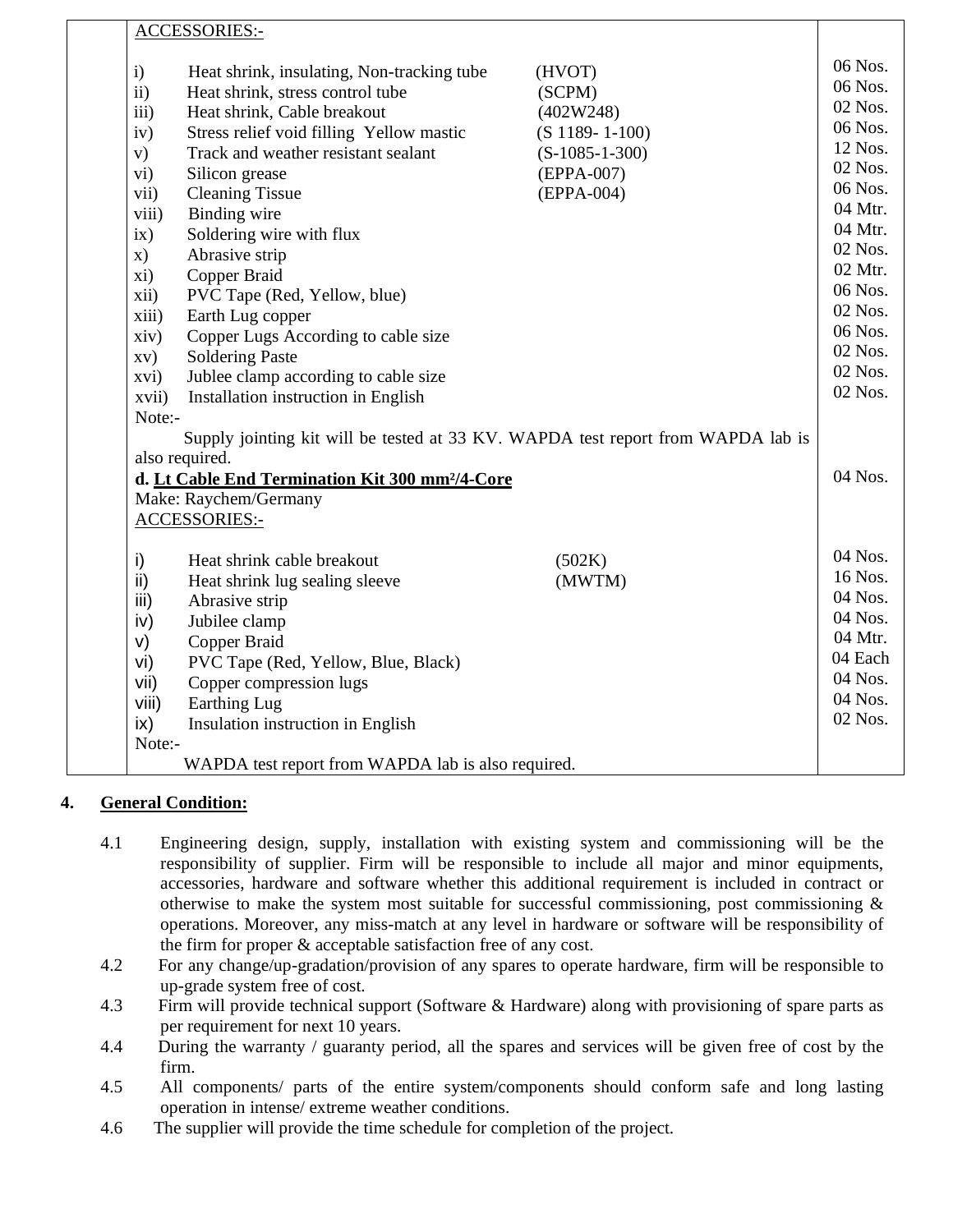|               | <b>ACCESSORIES:-</b>                                                             |                      |                    |  |
|---------------|----------------------------------------------------------------------------------|----------------------|--------------------|--|
| $\mathbf{i}$  | Heat shrink, insulating, Non-tracking tube                                       | (HVOT)               | 06 Nos.            |  |
| $\mathbf{ii}$ | Heat shrink, stress control tube                                                 | (SCPM)               | 06 Nos.            |  |
| iii)          | Heat shrink, Cable breakout                                                      | (402W248)            | 02 Nos.            |  |
| iv)           | Stress relief void filling Yellow mastic                                         | $(S 1189 - 1 - 100)$ | 06 Nos.            |  |
| V)            | Track and weather resistant sealant                                              | $(S-1085-1-300)$     | 12 Nos.            |  |
| vi)           | Silicon grease                                                                   | (EPPA-007)           | 02 Nos.            |  |
| vii)          | <b>Cleaning Tissue</b>                                                           | (EPPA-004)           | 06 Nos.            |  |
| viii)         | Binding wire                                                                     |                      | 04 Mtr.            |  |
| ix)           | Soldering wire with flux                                                         |                      | 04 Mtr.            |  |
| x)            | Abrasive strip                                                                   |                      | 02 Nos.            |  |
| xi)           | Copper Braid                                                                     |                      | 02 Mtr.            |  |
| xii)          | PVC Tape (Red, Yellow, blue)                                                     |                      | 06 Nos.            |  |
| xiii)         | Earth Lug copper                                                                 |                      | 02 Nos.            |  |
| xiv)          | Copper Lugs According to cable size                                              |                      | 06 Nos.            |  |
| XV)           | <b>Soldering Paste</b>                                                           |                      | 02 Nos.            |  |
| xvi)          | Jublee clamp according to cable size                                             |                      | 02 Nos.<br>02 Nos. |  |
| xvii)         | Installation instruction in English                                              |                      |                    |  |
| Note:-        |                                                                                  |                      |                    |  |
|               | Supply jointing kit will be tested at 33 KV. WAPDA test report from WAPDA lab is |                      |                    |  |
|               | also required.                                                                   |                      |                    |  |
|               | d. Lt Cable End Termination Kit 300 mm <sup>2</sup> /4-Core                      |                      | 04 Nos.            |  |
|               | Make: Raychem/Germany                                                            |                      |                    |  |
|               | ACCESSORIES:-                                                                    |                      |                    |  |
|               | Heat shrink cable breakout                                                       | (502K)               | 04 Nos.            |  |
| i)<br>ii)     | Heat shrink lug sealing sleeve                                                   | (MWTM)               | 16 Nos.            |  |
| iii)          | Abrasive strip                                                                   |                      | 04 Nos.            |  |
| iv)           | Jubilee clamp                                                                    |                      | 04 Nos.            |  |
| V)            | Copper Braid                                                                     |                      | 04 Mtr.            |  |
| vi)           | PVC Tape (Red, Yellow, Blue, Black)                                              |                      | 04 Each            |  |
| vii)          | Copper compression lugs                                                          |                      | 04 Nos.            |  |
| viii)         | Earthing Lug                                                                     |                      | 04 Nos.            |  |
| ix)           | Insulation instruction in English                                                |                      | 02 Nos.            |  |
| Note:-        |                                                                                  |                      |                    |  |
|               | WAPDA test report from WAPDA lab is also required.                               |                      |                    |  |

# **4. General Condition:**

- 4.1 Engineering design, supply, installation with existing system and commissioning will be the responsibility of supplier. Firm will be responsible to include all major and minor equipments, accessories, hardware and software whether this additional requirement is included in contract or otherwise to make the system most suitable for successful commissioning, post commissioning  $\&$ operations. Moreover, any miss-match at any level in hardware or software will be responsibility of the firm for proper & acceptable satisfaction free of any cost.
- 4.2 For any change/up-gradation/provision of any spares to operate hardware, firm will be responsible to up-grade system free of cost.
- 4.3 Firm will provide technical support (Software & Hardware) along with provisioning of spare parts as per requirement for next 10 years.
- 4.4 During the warranty / guaranty period, all the spares and services will be given free of cost by the firm.
- 4.5 All components/ parts of the entire system/components should conform safe and long lasting operation in intense/ extreme weather conditions.
- 4.6 The supplier will provide the time schedule for completion of the project.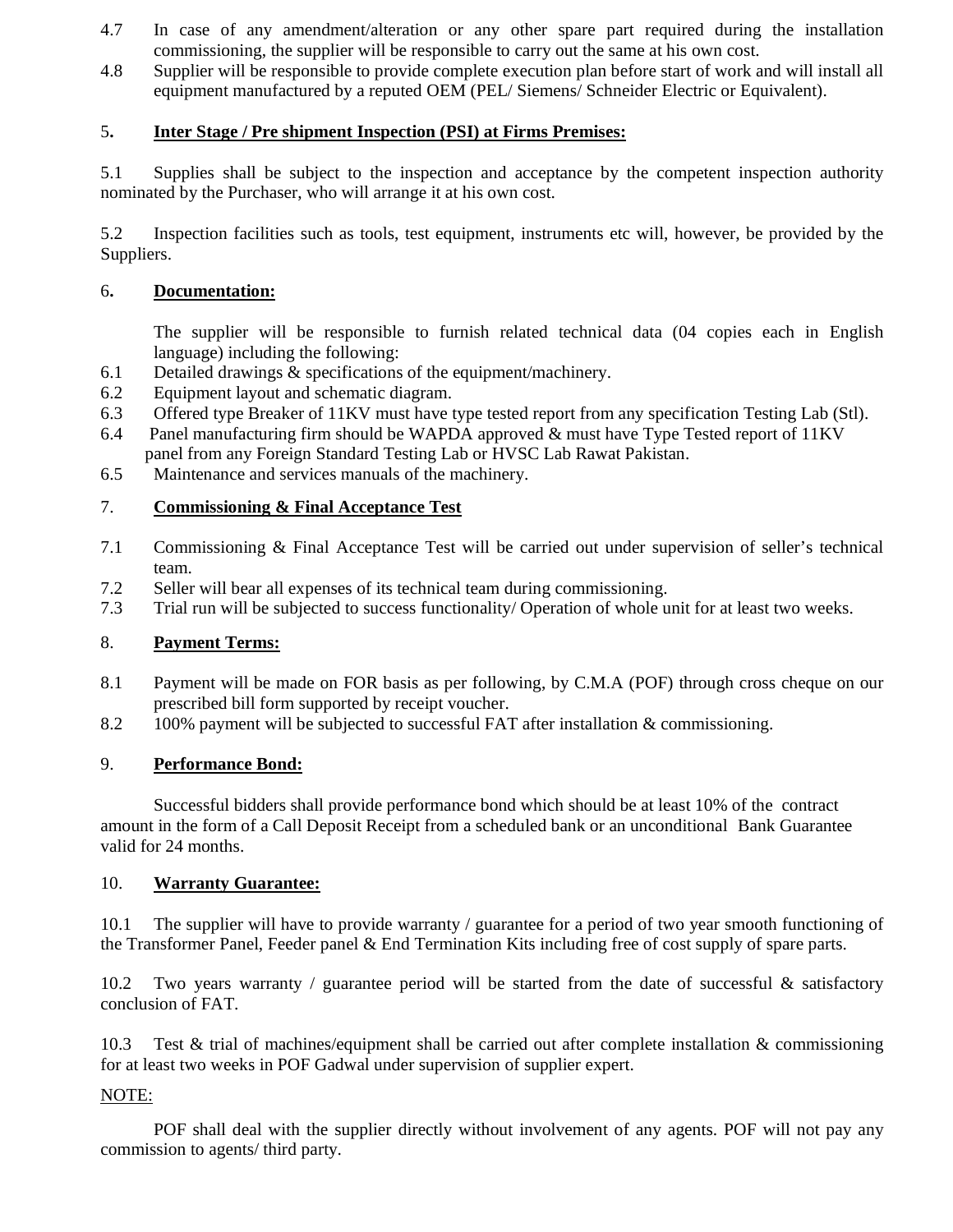- 4.7 In case of any amendment/alteration or any other spare part required during the installation commissioning, the supplier will be responsible to carry out the same at his own cost.
- 4.8 Supplier will be responsible to provide complete execution plan before start of work and will install all equipment manufactured by a reputed OEM (PEL/ Siemens/ Schneider Electric or Equivalent).

# 5**. Inter Stage / Pre shipment Inspection (PSI) at Firms Premises:**

5.1 Supplies shall be subject to the inspection and acceptance by the competent inspection authority nominated by the Purchaser, who will arrange it at his own cost.

5.2 Inspection facilities such as tools, test equipment, instruments etc will, however, be provided by the Suppliers.

# 6**. Documentation:**

The supplier will be responsible to furnish related technical data (04 copies each in English language) including the following:

- 6.1 Detailed drawings & specifications of the equipment/machinery.
- 6.2 Equipment layout and schematic diagram.
- 6.3 Offered type Breaker of 11KV must have type tested report from any specification Testing Lab (Stl).
- 6.4 Panel manufacturing firm should be WAPDA approved & must have Type Tested report of 11KV panel from any Foreign Standard Testing Lab or HVSC Lab Rawat Pakistan.
- 6.5 Maintenance and services manuals of the machinery.

# 7. **Commissioning & Final Acceptance Test**

- 7.1 Commissioning & Final Acceptance Test will be carried out under supervision of seller's technical team.
- 7.2 Seller will bear all expenses of its technical team during commissioning.
- 7.3 Trial run will be subjected to success functionality/ Operation of whole unit for at least two weeks.

# 8. **Payment Terms:**

- 8.1 Payment will be made on FOR basis as per following, by C.M.A (POF) through cross cheque on our prescribed bill form supported by receipt voucher.
- 8.2 100% payment will be subjected to successful FAT after installation & commissioning.

## 9. **Performance Bond:**

 Successful bidders shall provide performance bond which should be at least 10% of the contract amount in the form of a Call Deposit Receipt from a scheduled bank or an unconditional Bank Guarantee valid for 24 months.

### 10. **Warranty Guarantee:**

10.1 The supplier will have to provide warranty / guarantee for a period of two year smooth functioning of the Transformer Panel, Feeder panel & End Termination Kits including free of cost supply of spare parts.

10.2 Two years warranty / guarantee period will be started from the date of successful & satisfactory conclusion of FAT.

10.3 Test & trial of machines/equipment shall be carried out after complete installation & commissioning for at least two weeks in POF Gadwal under supervision of supplier expert.

### NOTE:

 POF shall deal with the supplier directly without involvement of any agents. POF will not pay any commission to agents/ third party.